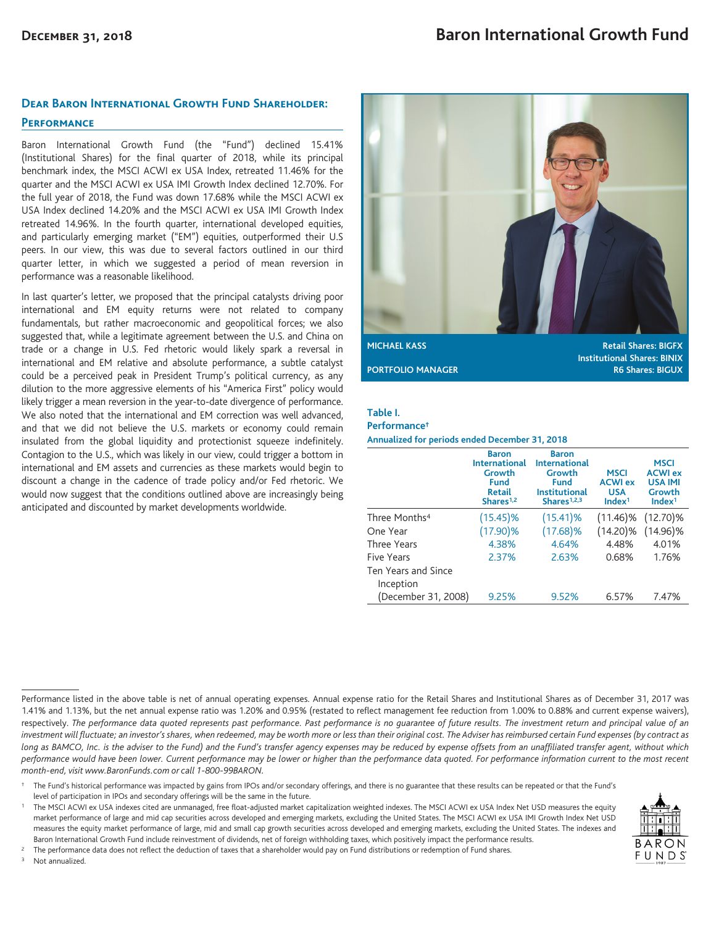### **Dear Baron International Growth Fund Shareholder:**

#### **Performance**

Baron International Growth Fund (the "Fund") declined 15.41% (Institutional Shares) for the final quarter of 2018, while its principal benchmark index, the MSCI ACWI ex USA Index, retreated 11.46% for the quarter and the MSCI ACWI ex USA IMI Growth Index declined 12.70%. For the full year of 2018, the Fund was down 17.68% while the MSCI ACWI ex USA Index declined 14.20% and the MSCI ACWI ex USA IMI Growth Index retreated 14.96%. In the fourth quarter, international developed equities, and particularly emerging market ("EM") equities, outperformed their U.S peers. In our view, this was due to several factors outlined in our third quarter letter, in which we suggested a period of mean reversion in performance was a reasonable likelihood.

In last quarter's letter, we proposed that the principal catalysts driving poor international and EM equity returns were not related to company fundamentals, but rather macroeconomic and geopolitical forces; we also suggested that, while a legitimate agreement between the U.S. and China on trade or a change in U.S. Fed rhetoric would likely spark a reversal in international and EM relative and absolute performance, a subtle catalyst could be a perceived peak in President Trump's political currency, as any dilution to the more aggressive elements of his "America First" policy would likely trigger a mean reversion in the year-to-date divergence of performance. We also noted that the international and EM correction was well advanced, and that we did not believe the U.S. markets or economy could remain insulated from the global liquidity and protectionist squeeze indefinitely. Contagion to the U.S., which was likely in our view, could trigger a bottom in international and EM assets and currencies as these markets would begin to discount a change in the cadence of trade policy and/or Fed rhetoric. We would now suggest that the conditions outlined above are increasingly being anticipated and discounted by market developments worldwide.



**Institutional Shares: BINIX PORTFOLIO MANAGER R6 Shares: BIGUX** 

### **Table I.**

#### **Performance†**

**Annualized for periods ended December 31, 2018**

|                            | <b>Baron</b><br><b>International</b><br>Growth<br><b>Fund</b><br><b>Retail</b><br>Shares <sup>1,2</sup> | <b>Baron</b><br><b>International</b><br>Growth<br><b>Fund</b><br><b>Institutional</b><br>Shares <sup>1,2,3</sup> | <b>MSCI</b><br><b>ACWI ex</b><br><b>USA</b><br>Index <sup>1</sup> | <b>MSCI</b><br><b>ACWI ex</b><br><b>USA IMI</b><br>Growth<br>Index <sup>1</sup> |
|----------------------------|---------------------------------------------------------------------------------------------------------|------------------------------------------------------------------------------------------------------------------|-------------------------------------------------------------------|---------------------------------------------------------------------------------|
| Three Months <sup>4</sup>  | (15.45)%                                                                                                | $(15.41)\%$                                                                                                      | $(11.46)\%$                                                       | $(12.70)\%$                                                                     |
| One Year                   | (17.90)%                                                                                                | $(17.68)\%$                                                                                                      | $(14.20)\%$                                                       | $(14.96)\%$                                                                     |
| Three Years                | 4.38%                                                                                                   | 4.64%                                                                                                            | 4.48%                                                             | 4.01%                                                                           |
| Five Years                 | 2.37%                                                                                                   | 2.63%                                                                                                            | 0.68%                                                             | 1.76%                                                                           |
| <b>Ten Years and Since</b> |                                                                                                         |                                                                                                                  |                                                                   |                                                                                 |
| Inception                  |                                                                                                         |                                                                                                                  |                                                                   |                                                                                 |
| (December 31, 2008)        | 9.25%                                                                                                   | 9.52%                                                                                                            | 6.57%                                                             | 7.47%                                                                           |

<sup>1</sup> The MSCI ACWI ex USA indexes cited are unmanaged, free float-adjusted market capitalization weighted indexes. The MSCI ACWI ex USA Index Net USD measures the equity market performance of large and mid cap securities across developed and emerging markets, excluding the United States. The MSCI ACWI ex USA IMI Growth Index Net USD measures the equity market performance of large, mid and small cap growth securities across developed and emerging markets, excluding the United States. The indexes and Baron International Growth Fund include reinvestment of dividends, net of foreign withholding taxes, which positively impact the performance results.



<sup>3</sup> Not annualized.



Performance listed in the above table is net of annual operating expenses. Annual expense ratio for the Retail Shares and Institutional Shares as of December 31, 2017 was 1.41% and 1.13%, but the net annual expense ratio was 1.20% and 0.95% (restated to reflect management fee reduction from 1.00% to 0.88% and current expense waivers), respectively. *The performance data quoted represents past performance. Past performance is no guarantee of future results. The investment return and principal value of an investment will fluctuate; an investor's shares, when redeemed, may be worth more or less than their original cost. The Adviser has reimbursed certain Fund expenses (by contract as long as BAMCO, Inc. is the adviser to the Fund) and the Fund's transfer agency expenses may be reduced by expense offsets from an unaffiliated transfer agent, without which performance would have been lower. Current performance may be lower or higher than the performance data quoted. For performance information current to the most recent month-end, visit www.BaronFunds.com or call 1-800-99BARON.*

<sup>†</sup> The Fund's historical performance was impacted by gains from IPOs and/or secondary offerings, and there is no guarantee that these results can be repeated or that the Fund's level of participation in IPOs and secondary offerings will be the same in the future.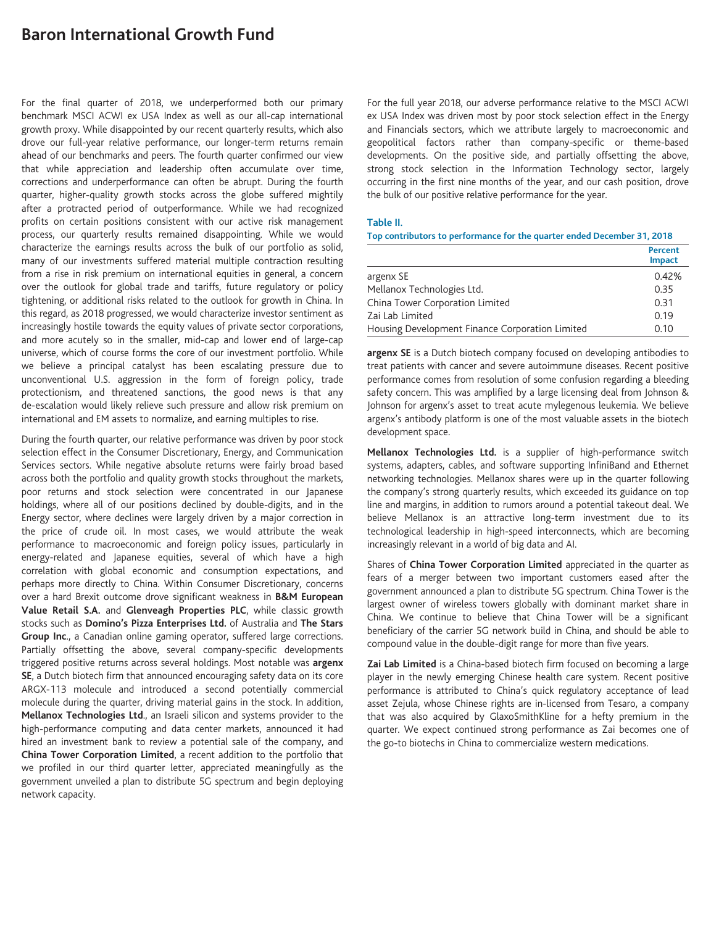# **Baron International Growth Fund**

For the final quarter of 2018, we underperformed both our primary benchmark MSCI ACWI ex USA Index as well as our all-cap international growth proxy. While disappointed by our recent quarterly results, which also drove our full-year relative performance, our longer-term returns remain ahead of our benchmarks and peers. The fourth quarter confirmed our view that while appreciation and leadership often accumulate over time, corrections and underperformance can often be abrupt. During the fourth quarter, higher-quality growth stocks across the globe suffered mightily after a protracted period of outperformance. While we had recognized profits on certain positions consistent with our active risk management process, our quarterly results remained disappointing. While we would characterize the earnings results across the bulk of our portfolio as solid, many of our investments suffered material multiple contraction resulting from a rise in risk premium on international equities in general, a concern over the outlook for global trade and tariffs, future regulatory or policy tightening, or additional risks related to the outlook for growth in China. In this regard, as 2018 progressed, we would characterize investor sentiment as increasingly hostile towards the equity values of private sector corporations, and more acutely so in the smaller, mid-cap and lower end of large-cap universe, which of course forms the core of our investment portfolio. While we believe a principal catalyst has been escalating pressure due to unconventional U.S. aggression in the form of foreign policy, trade protectionism, and threatened sanctions, the good news is that any de-escalation would likely relieve such pressure and allow risk premium on international and EM assets to normalize, and earning multiples to rise.

During the fourth quarter, our relative performance was driven by poor stock selection effect in the Consumer Discretionary, Energy, and Communication Services sectors. While negative absolute returns were fairly broad based across both the portfolio and quality growth stocks throughout the markets, poor returns and stock selection were concentrated in our Japanese holdings, where all of our positions declined by double-digits, and in the Energy sector, where declines were largely driven by a major correction in the price of crude oil. In most cases, we would attribute the weak performance to macroeconomic and foreign policy issues, particularly in energy-related and Japanese equities, several of which have a high correlation with global economic and consumption expectations, and perhaps more directly to China. Within Consumer Discretionary, concerns over a hard Brexit outcome drove significant weakness in **B&M European Value Retail S.A.** and **Glenveagh Properties PLC**, while classic growth stocks such as **Domino's Pizza Enterprises Ltd.** of Australia and **The Stars Group Inc**., a Canadian online gaming operator, suffered large corrections. Partially offsetting the above, several company-specific developments triggered positive returns across several holdings. Most notable was **argenx SE**, a Dutch biotech firm that announced encouraging safety data on its core ARGX-113 molecule and introduced a second potentially commercial molecule during the quarter, driving material gains in the stock. In addition, **Mellanox Technologies Ltd**., an Israeli silicon and systems provider to the high-performance computing and data center markets, announced it had hired an investment bank to review a potential sale of the company, and **China Tower Corporation Limited**, a recent addition to the portfolio that we profiled in our third quarter letter, appreciated meaningfully as the government unveiled a plan to distribute 5G spectrum and begin deploying network capacity.

For the full year 2018, our adverse performance relative to the MSCI ACWI ex USA Index was driven most by poor stock selection effect in the Energy and Financials sectors, which we attribute largely to macroeconomic and geopolitical factors rather than company-specific or theme-based developments. On the positive side, and partially offsetting the above, strong stock selection in the Information Technology sector, largely occurring in the first nine months of the year, and our cash position, drove the bulk of our positive relative performance for the year.

#### **Table II.**

**Top contributors to performance for the quarter ended December 31, 2018**

|                                                 | <b>Percent</b><br><b>Impact</b> |
|-------------------------------------------------|---------------------------------|
| argenx SE                                       | 0.42%                           |
| Mellanox Technologies Ltd.                      | 0.35                            |
| China Tower Corporation Limited                 | 0.31                            |
| Zai Lab Limited                                 | 0.19                            |
| Housing Development Finance Corporation Limited | 0.10                            |

**argenx SE** is a Dutch biotech company focused on developing antibodies to treat patients with cancer and severe autoimmune diseases. Recent positive performance comes from resolution of some confusion regarding a bleeding safety concern. This was amplified by a large licensing deal from Johnson & Johnson for argenx's asset to treat acute mylegenous leukemia. We believe argenx's antibody platform is one of the most valuable assets in the biotech development space.

**Mellanox Technologies Ltd.** is a supplier of high-performance switch systems, adapters, cables, and software supporting InfiniBand and Ethernet networking technologies. Mellanox shares were up in the quarter following the company's strong quarterly results, which exceeded its guidance on top line and margins, in addition to rumors around a potential takeout deal. We believe Mellanox is an attractive long-term investment due to its technological leadership in high-speed interconnects, which are becoming increasingly relevant in a world of big data and AI.

Shares of **China Tower Corporation Limited** appreciated in the quarter as fears of a merger between two important customers eased after the government announced a plan to distribute 5G spectrum. China Tower is the largest owner of wireless towers globally with dominant market share in China. We continue to believe that China Tower will be a significant beneficiary of the carrier 5G network build in China, and should be able to compound value in the double-digit range for more than five years.

**Zai Lab Limited** is a China-based biotech firm focused on becoming a large player in the newly emerging Chinese health care system. Recent positive performance is attributed to China's quick regulatory acceptance of lead asset Zejula, whose Chinese rights are in-licensed from Tesaro, a company that was also acquired by GlaxoSmithKline for a hefty premium in the quarter. We expect continued strong performance as Zai becomes one of the go-to biotechs in China to commercialize western medications.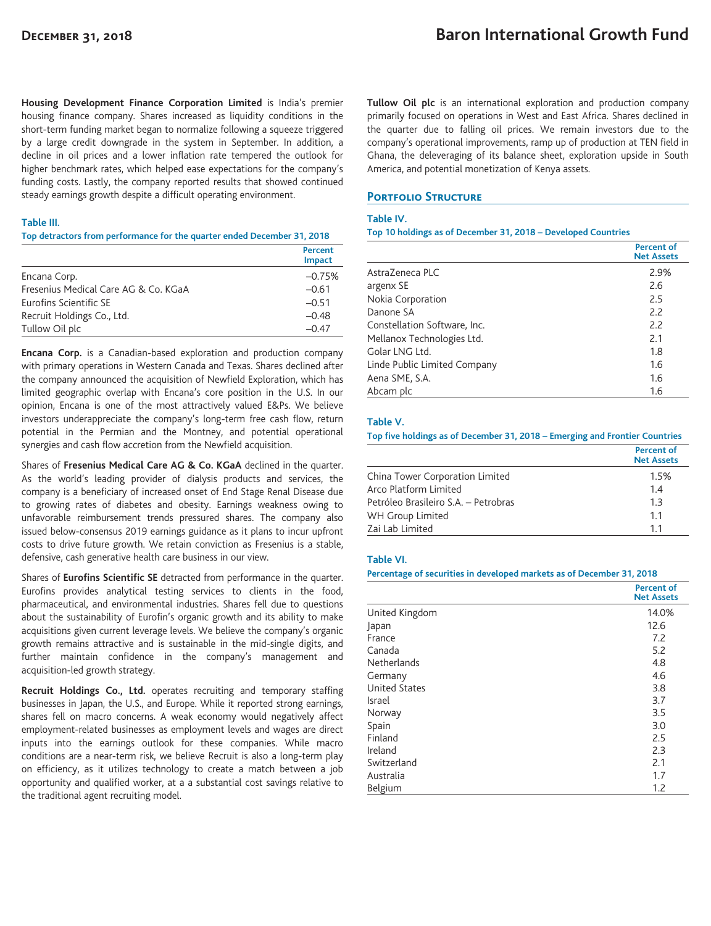**Housing Development Finance Corporation Limited** is India's premier housing finance company. Shares increased as liquidity conditions in the short-term funding market began to normalize following a squeeze triggered by a large credit downgrade in the system in September. In addition, a decline in oil prices and a lower inflation rate tempered the outlook for higher benchmark rates, which helped ease expectations for the company's funding costs. Lastly, the company reported results that showed continued steady earnings growth despite a difficult operating environment.

#### **Table III.**

**Top detractors from performance for the quarter ended December 31, 2018**

|                                      | Percent<br><b>Impact</b> |
|--------------------------------------|--------------------------|
| Encana Corp.                         | $-0.75%$                 |
| Fresenius Medical Care AG & Co. KGaA | $-0.61$                  |
| Eurofins Scientific SE               | $-0.51$                  |
| Recruit Holdings Co., Ltd.           | $-0.48$                  |
| Tullow Oil plc                       | $-0.47$                  |

**Encana Corp.** is a Canadian-based exploration and production company with primary operations in Western Canada and Texas. Shares declined after the company announced the acquisition of Newfield Exploration, which has limited geographic overlap with Encana's core position in the U.S. In our opinion, Encana is one of the most attractively valued E&Ps. We believe investors underappreciate the company's long-term free cash flow, return potential in the Permian and the Montney, and potential operational synergies and cash flow accretion from the Newfield acquisition.

Shares of **Fresenius Medical Care AG & Co. KGaA** declined in the quarter. As the world's leading provider of dialysis products and services, the company is a beneficiary of increased onset of End Stage Renal Disease due to growing rates of diabetes and obesity. Earnings weakness owing to unfavorable reimbursement trends pressured shares. The company also issued below-consensus 2019 earnings guidance as it plans to incur upfront costs to drive future growth. We retain conviction as Fresenius is a stable, defensive, cash generative health care business in our view.

Shares of **Eurofins Scientific SE** detracted from performance in the quarter. Eurofins provides analytical testing services to clients in the food, pharmaceutical, and environmental industries. Shares fell due to questions about the sustainability of Eurofin's organic growth and its ability to make acquisitions given current leverage levels. We believe the company's organic growth remains attractive and is sustainable in the mid-single digits, and further maintain confidence in the company's management and acquisition-led growth strategy.

**Recruit Holdings Co., Ltd.** operates recruiting and temporary staffing businesses in Japan, the U.S., and Europe. While it reported strong earnings, shares fell on macro concerns. A weak economy would negatively affect employment-related businesses as employment levels and wages are direct inputs into the earnings outlook for these companies. While macro conditions are a near-term risk, we believe Recruit is also a long-term play on efficiency, as it utilizes technology to create a match between a job opportunity and qualified worker, at a a substantial cost savings relative to the traditional agent recruiting model.

**Tullow Oil plc** is an international exploration and production company primarily focused on operations in West and East Africa. Shares declined in the quarter due to falling oil prices. We remain investors due to the company's operational improvements, ramp up of production at TEN field in Ghana, the deleveraging of its balance sheet, exploration upside in South America, and potential monetization of Kenya assets.

## **PORTFOLIO STRUCTURE**

#### **Table IV.**

**Top 10 holdings as of December 31, 2018 – Developed Countries**

|                              | <b>Percent of</b><br><b>Net Assets</b> |
|------------------------------|----------------------------------------|
| AstraZeneca PLC              | 2.9%                                   |
| argenx SE                    | 2.6                                    |
| Nokia Corporation            | 2.5                                    |
| Danone SA                    | 2.2                                    |
| Constellation Software, Inc. | 2.2                                    |
| Mellanox Technologies Ltd.   | 2.1                                    |
| Golar LNG Ltd.               | 1.8                                    |
| Linde Public Limited Company | 1.6                                    |
| Aena SME, S.A.               | 1.6                                    |
| Abcam plc                    | 1.6                                    |

#### **Table V.**

**Top five holdings as of December 31, 2018 – Emerging and Frontier Countries**

|                                      | <b>Percent of</b><br><b>Net Assets</b> |
|--------------------------------------|----------------------------------------|
| China Tower Corporation Limited      | 1.5%                                   |
| Arco Platform Limited                | 1.4                                    |
| Petróleo Brasileiro S.A. - Petrobras | 1.3                                    |
| WH Group Limited                     | 11                                     |
| Zai Lab Limited                      | 11                                     |

#### **Table VI.**

#### **Percentage of securities in developed markets as of December 31, 2018**

|                      | <b>Percent of</b><br><b>Net Assets</b> |
|----------------------|----------------------------------------|
| United Kingdom       | 14.0%                                  |
| Japan                | 12.6                                   |
| France               | 7.2                                    |
| Canada               | 5.2                                    |
| <b>Netherlands</b>   | 4.8                                    |
| Germany              | 4.6                                    |
| <b>United States</b> | 3.8                                    |
| Israel               | 3.7                                    |
| Norway               | 3.5                                    |
| Spain                | 3.0                                    |
| Finland              | 2.5                                    |
| Ireland              | 2.3                                    |
| Switzerland          | 2.1                                    |
| Australia            | 1.7                                    |
| Belgium              | 1.2                                    |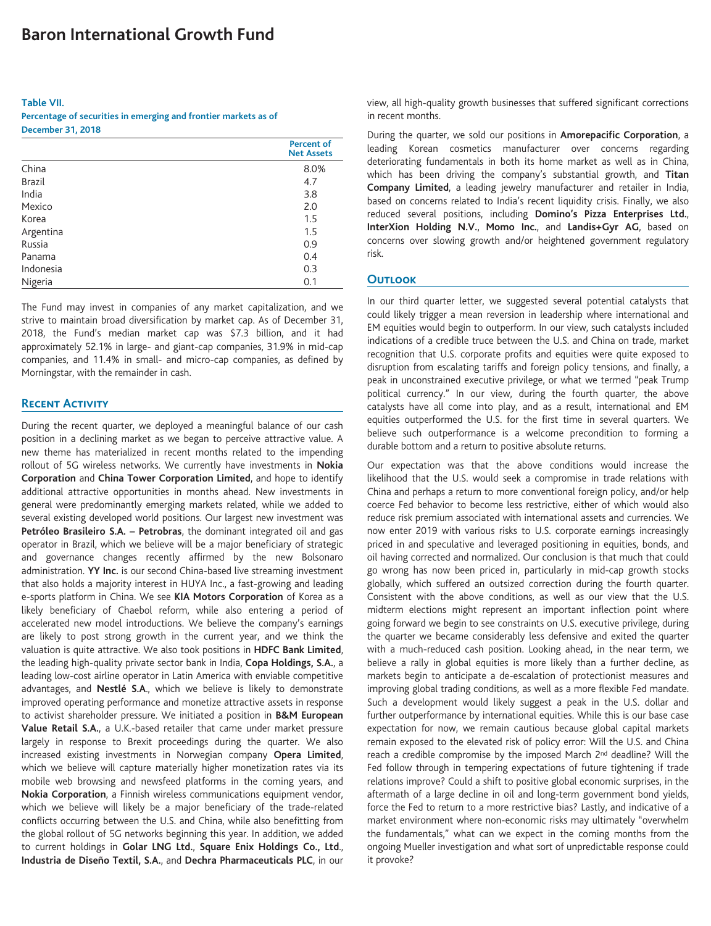#### **Table VII.**

**Percentage of securities in emerging and frontier markets as of December 31, 2018**

|               | <b>Percent of</b><br><b>Net Assets</b> |
|---------------|----------------------------------------|
| China         | 8.0%                                   |
| <b>Brazil</b> | 4.7                                    |
| India         | 3.8                                    |
| Mexico        | 2.0                                    |
| Korea         | 1.5                                    |
| Argentina     | 1.5                                    |
| Russia        | 0.9                                    |
| Panama        | 0.4                                    |
| Indonesia     | 0.3                                    |
| Nigeria       | 0.1                                    |

The Fund may invest in companies of any market capitalization, and we strive to maintain broad diversification by market cap. As of December 31, 2018, the Fund's median market cap was \$7.3 billion, and it had approximately 52.1% in large- and giant-cap companies, 31.9% in mid-cap companies, and 11.4% in small- and micro-cap companies, as defined by Morningstar, with the remainder in cash.

## **Recent Activity**

During the recent quarter, we deployed a meaningful balance of our cash position in a declining market as we began to perceive attractive value. A new theme has materialized in recent months related to the impending rollout of 5G wireless networks. We currently have investments in **Nokia Corporation** and **China Tower Corporation Limited**, and hope to identify additional attractive opportunities in months ahead. New investments in general were predominantly emerging markets related, while we added to several existing developed world positions. Our largest new investment was **Petróleo Brasileiro S.A. – Petrobras**, the dominant integrated oil and gas operator in Brazil, which we believe will be a major beneficiary of strategic and governance changes recently affirmed by the new Bolsonaro administration. **YY Inc.** is our second China-based live streaming investment that also holds a majority interest in HUYA Inc., a fast-growing and leading e-sports platform in China. We see **KIA Motors Corporation** of Korea as a likely beneficiary of Chaebol reform, while also entering a period of accelerated new model introductions. We believe the company's earnings are likely to post strong growth in the current year, and we think the valuation is quite attractive. We also took positions in **HDFC Bank Limited**, the leading high-quality private sector bank in India, **Copa Holdings, S.A.**, a leading low-cost airline operator in Latin America with enviable competitive advantages, and **Nestlé S.A**., which we believe is likely to demonstrate improved operating performance and monetize attractive assets in response to activist shareholder pressure. We initiated a position in **B&M European Value Retail S.A.**, a U.K.-based retailer that came under market pressure largely in response to Brexit proceedings during the quarter. We also increased existing investments in Norwegian company **Opera Limited**, which we believe will capture materially higher monetization rates via its mobile web browsing and newsfeed platforms in the coming years, and **Nokia Corporation**, a Finnish wireless communications equipment vendor, which we believe will likely be a major beneficiary of the trade-related conflicts occurring between the U.S. and China, while also benefitting from the global rollout of 5G networks beginning this year. In addition, we added to current holdings in **Golar LNG Ltd.**, **Square Enix Holdings Co., Ltd**., **Industria de Diseño Textil, S.A.**, and **Dechra Pharmaceuticals PLC**, in our view, all high-quality growth businesses that suffered significant corrections in recent months.

During the quarter, we sold our positions in **Amorepacific Corporation**, a leading Korean cosmetics manufacturer over concerns regarding deteriorating fundamentals in both its home market as well as in China, which has been driving the company's substantial growth, and **Titan Company Limited**, a leading jewelry manufacturer and retailer in India, based on concerns related to India's recent liquidity crisis. Finally, we also reduced several positions, including **Domino's Pizza Enterprises Ltd.**, **InterXion Holding N.V.**, **Momo Inc.**, and **Landis+Gyr AG**, based on concerns over slowing growth and/or heightened government regulatory risk.

#### **Outlook**

In our third quarter letter, we suggested several potential catalysts that could likely trigger a mean reversion in leadership where international and EM equities would begin to outperform. In our view, such catalysts included indications of a credible truce between the U.S. and China on trade, market recognition that U.S. corporate profits and equities were quite exposed to disruption from escalating tariffs and foreign policy tensions, and finally, a peak in unconstrained executive privilege, or what we termed "peak Trump political currency." In our view, during the fourth quarter, the above catalysts have all come into play, and as a result, international and EM equities outperformed the U.S. for the first time in several quarters. We believe such outperformance is a welcome precondition to forming a durable bottom and a return to positive absolute returns.

Our expectation was that the above conditions would increase the likelihood that the U.S. would seek a compromise in trade relations with China and perhaps a return to more conventional foreign policy, and/or help coerce Fed behavior to become less restrictive, either of which would also reduce risk premium associated with international assets and currencies. We now enter 2019 with various risks to U.S. corporate earnings increasingly priced in and speculative and leveraged positioning in equities, bonds, and oil having corrected and normalized. Our conclusion is that much that could go wrong has now been priced in, particularly in mid-cap growth stocks globally, which suffered an outsized correction during the fourth quarter. Consistent with the above conditions, as well as our view that the U.S. midterm elections might represent an important inflection point where going forward we begin to see constraints on U.S. executive privilege, during the quarter we became considerably less defensive and exited the quarter with a much-reduced cash position. Looking ahead, in the near term, we believe a rally in global equities is more likely than a further decline, as markets begin to anticipate a de-escalation of protectionist measures and improving global trading conditions, as well as a more flexible Fed mandate. Such a development would likely suggest a peak in the U.S. dollar and further outperformance by international equities. While this is our base case expectation for now, we remain cautious because global capital markets remain exposed to the elevated risk of policy error: Will the U.S. and China reach a credible compromise by the imposed March 2<sup>nd</sup> deadline? Will the Fed follow through in tempering expectations of future tightening if trade relations improve? Could a shift to positive global economic surprises, in the aftermath of a large decline in oil and long-term government bond yields, force the Fed to return to a more restrictive bias? Lastly, and indicative of a market environment where non-economic risks may ultimately "overwhelm the fundamentals," what can we expect in the coming months from the ongoing Mueller investigation and what sort of unpredictable response could it provoke?